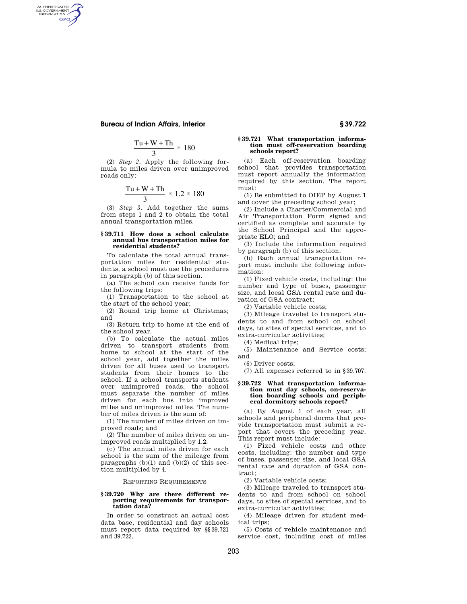# **Bureau of Indian Affairs, Interior § 39.722**

AUTHENTICATED<br>U.S. GOVERNMENT<br>INFORMATION GPO

$$
\frac{\text{Tu} + \text{W} + \text{Th}}{3} \, * \, 180
$$

(2) *Step 2.* Apply the following formula to miles driven over unimproved roads only:

$$
\frac{\text{Tu} + \text{W} + \text{Th}}{3} * 1.2 * 180
$$

(3) *Step 3.* Add together the sums from steps 1 and 2 to obtain the total annual transportation miles.

#### **§ 39.711 How does a school calculate annual bus transportation miles for residential students?**

To calculate the total annual transportation miles for residential students, a school must use the procedures in paragraph (b) of this section.

(a) The school can receive funds for the following trips:

(1) Transportation to the school at the start of the school year;

(2) Round trip home at Christmas; and

(3) Return trip to home at the end of the school year.

(b) To calculate the actual miles driven to transport students from home to school at the start of the school year, add together the miles driven for all buses used to transport students from their homes to the school. If a school transports students over unimproved roads, the school must separate the number of miles driven for each bus into improved miles and unimproved miles. The number of miles driven is the sum of:

(1) The number of miles driven on improved roads; and

(2) The number of miles driven on unimproved roads multiplied by 1.2.

(c) The annual miles driven for each school is the sum of the mileage from paragraphs  $(b)(1)$  and  $(b)(2)$  of this section multiplied by 4.

# REPORTING REQUIREMENTS

## **§ 39.720 Why are there different reporting requirements for transportation data?**

In order to construct an actual cost data base, residential and day schools must report data required by §§39.721 and 39.722.

## **§ 39.721 What transportation information must off-reservation boarding schools report?**

(a) Each off-reservation boarding school that provides transportation must report annually the information required by this section. The report must:

(1) Be submitted to OIEP by August 1 and cover the preceding school year;

(2) Include a Charter/Commercial and Air Transportation Form signed and certified as complete and accurate by the School Principal and the appropriate ELO; and

(3) Include the information required by paragraph (b) of this section.

(b) Each annual transportation report must include the following information:

(1) Fixed vehicle costs, including: the number and type of buses, passenger size, and local GSA rental rate and duration of GSA contract;

(2) Variable vehicle costs;

(3) Mileage traveled to transport students to and from school on school days, to sites of special services, and to extra-curricular activities;

(4) Medical trips;

(5) Maintenance and Service costs; and

(6) Driver costs;

(7) All expenses referred to in §39.707.

# **§ 39.722 What transportation information must day schools, on-reservation boarding schools and peripheral dormitory schools report?**

(a) By August 1 of each year, all schools and peripheral dorms that provide transportation must submit a report that covers the preceding year. This report must include:

(1) Fixed vehicle costs and other costs, including: the number and type of buses, passenger size, and local GSA rental rate and duration of GSA contract;

(2) Variable vehicle costs;

(3) Mileage traveled to transport students to and from school on school days, to sites of special services, and to extra-curricular activities;

(4) Mileage driven for student medical trips;

(5) Costs of vehicle maintenance and service cost, including cost of miles